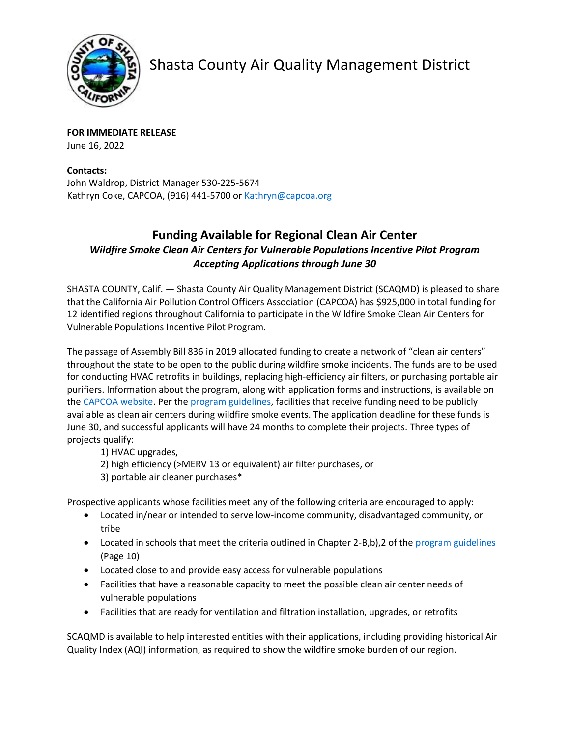

Shasta County Air Quality Management District

**FOR IMMEDIATE RELEASE** June 16, 2022

**Contacts:** John Waldrop, District Manager 530-225-5674 Kathryn Coke, CAPCOA, (916) 441-5700 o[r Kathryn@capcoa.org](mailto:Kathryn@capcoa.org)

## **Funding Available for Regional Clean Air Center** *Wildfire Smoke Clean Air Centers for Vulnerable Populations Incentive Pilot Program Accepting Applications through June 30*

SHASTA COUNTY, Calif. — Shasta County Air Quality Management District (SCAQMD) is pleased to share that the California Air Pollution Control Officers Association (CAPCOA) has \$925,000 in total funding for 12 identified regions throughout California to participate in the Wildfire Smoke Clean Air Centers for Vulnerable Populations Incentive Pilot Program.

The passage of Assembly Bill 836 in 2019 allocated funding to create a network of "clean air centers" throughout the state to be open to the public during wildfire smoke incidents. The funds are to be used for conducting HVAC retrofits in buildings, replacing high-efficiency air filters, or purchasing portable air purifiers. Information about the program, along with application forms and instructions, is available on th[e CAPCOA website.](http://www.capcoa.org/wildfire-smoke-clean-air-centers-for-vulnerable-populations-incentive-pilot-program/) Per th[e program guidelines,](https://ww2.arb.ca.gov/our-work/programs/wildfire-smoke-clean-air-center-grant/grant-guidelines) facilities that receive funding need to be publicly available as clean air centers during wildfire smoke events. The application deadline for these funds is June 30, and successful applicants will have 24 months to complete their projects. Three types of projects qualify:

- 1) HVAC upgrades,
- 2) high efficiency (>MERV 13 or equivalent) air filter purchases, or
- 3) portable air cleaner purchases\*

Prospective applicants whose facilities meet any of the following criteria are encouraged to apply:

- Located in/near or intended to serve low-income community, disadvantaged community, or tribe
- Located in schools that meet the criteria outlined in Chapter 2-B,b), 2 of the [program guidelines](https://ww2.arb.ca.gov/our-work/programs/wildfire-smoke-clean-air-center-grant/grant-guidelines) (Page 10)
- Located close to and provide easy access for vulnerable populations
- Facilities that have a reasonable capacity to meet the possible clean air center needs of vulnerable populations
- Facilities that are ready for ventilation and filtration installation, upgrades, or retrofits

SCAQMD is available to help interested entities with their applications, including providing historical Air Quality Index (AQI) information, as required to show the wildfire smoke burden of our region.